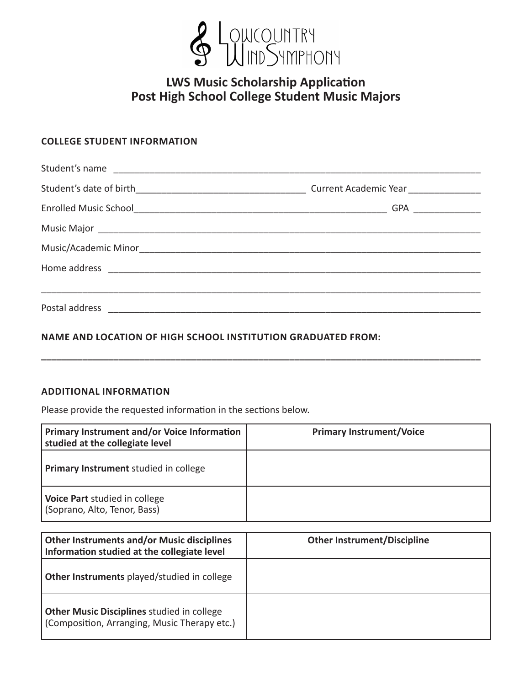

# **LWS Music Scholarship Application Post High School College Student Music Majors**

# **COLLEGE STUDENT INFORMATION**

| Student's name |  |
|----------------|--|
|                |  |
|                |  |
|                |  |
|                |  |
|                |  |
|                |  |
| Postal address |  |

**\_\_\_\_\_\_\_\_\_\_\_\_\_\_\_\_\_\_\_\_\_\_\_\_\_\_\_\_\_\_\_\_\_\_\_\_\_\_\_\_\_\_\_\_\_\_\_\_\_\_\_\_\_\_\_\_\_\_\_\_\_\_\_\_\_\_\_\_\_\_\_\_\_\_\_\_\_\_\_\_\_\_\_\_\_**

# **NAME AND LOCATION OF HIGH SCHOOL INSTITUTION GRADUATED FROM:**

### **ADDITIONAL INFORMATION**

Please provide the requested information in the sections below.

| <b>Primary Instrument and/or Voice Information</b><br>studied at the collegiate level | <b>Primary Instrument/Voice</b> |
|---------------------------------------------------------------------------------------|---------------------------------|
| <b>Primary Instrument</b> studied in college                                          |                                 |
| Voice Part studied in college<br>(Soprano, Alto, Tenor, Bass)                         |                                 |

| <b>Other Instruments and/or Music disciplines</b><br>Information studied at the collegiate level  | <b>Other Instrument/Discipline</b> |
|---------------------------------------------------------------------------------------------------|------------------------------------|
| Other Instruments played/studied in college                                                       |                                    |
| <b>Other Music Disciplines studied in college</b><br>(Composition, Arranging, Music Therapy etc.) |                                    |